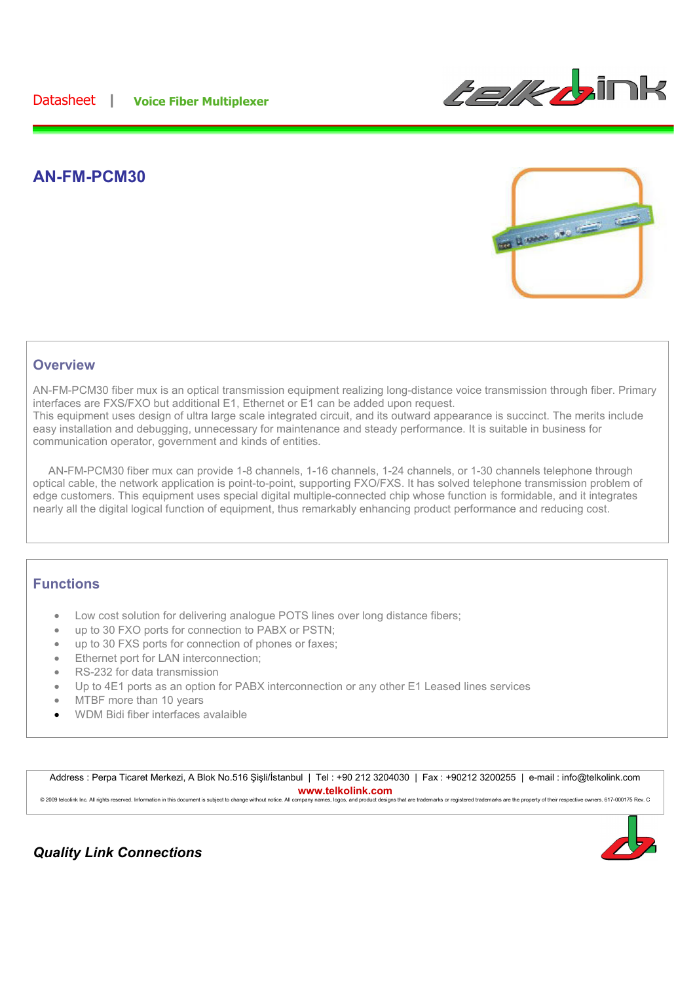

## **AN-FM-PCM30**



#### **Overview**

AN-FM-PCM30 fiber mux is an optical transmission equipment realizing long-distance voice transmission through fiber. Primary interfaces are FXS/FXO but additional E1, Ethernet or E1 can be added upon request. This equipment uses design of ultra large scale integrated circuit, and its outward appearance is succinct. The merits include easy installation and debugging, unnecessary for maintenance and steady performance. It is suitable in business for communication operator, government and kinds of entities.

 AN-FM-PCM30 fiber mux can provide 1-8 channels, 1-16 channels, 1-24 channels, or 1-30 channels telephone through optical cable, the network application is point-to-point, supporting FXO/FXS. It has solved telephone transmission problem of edge customers. This equipment uses special digital multiple-connected chip whose function is formidable, and it integrates nearly all the digital logical function of equipment, thus remarkably enhancing product performance and reducing cost.

#### **Functions**

- Low cost solution for delivering analogue POTS lines over long distance fibers;
- up to 30 FXO ports for connection to PABX or PSTN;
- up to 30 FXS ports for connection of phones or faxes;
- Ethernet port for LAN interconnection;
- RS-232 for data transmission
- Up to 4E1 ports as an option for PABX interconnection or any other E1 Leased lines services
- MTBF more than 10 years
- WDM Bidi fiber interfaces avalaible

Address : Perpa Ticaret Merkezi, A Blok No.516 Sisli/İstanbul | Tel : +90 212 3204030 | Fax : +90212 3200255 | e-mail : info@telkolink.com **www.telkolink.com**<br>ompany names, logos, and product designs that are trademarks or registered trademarks are the property of their respective owners. 617-000175 Rev. C © 2009 telcolink Inc. All rights reserved. Information in this document is subject to change without notice. All company na



## *Quality Link Connections*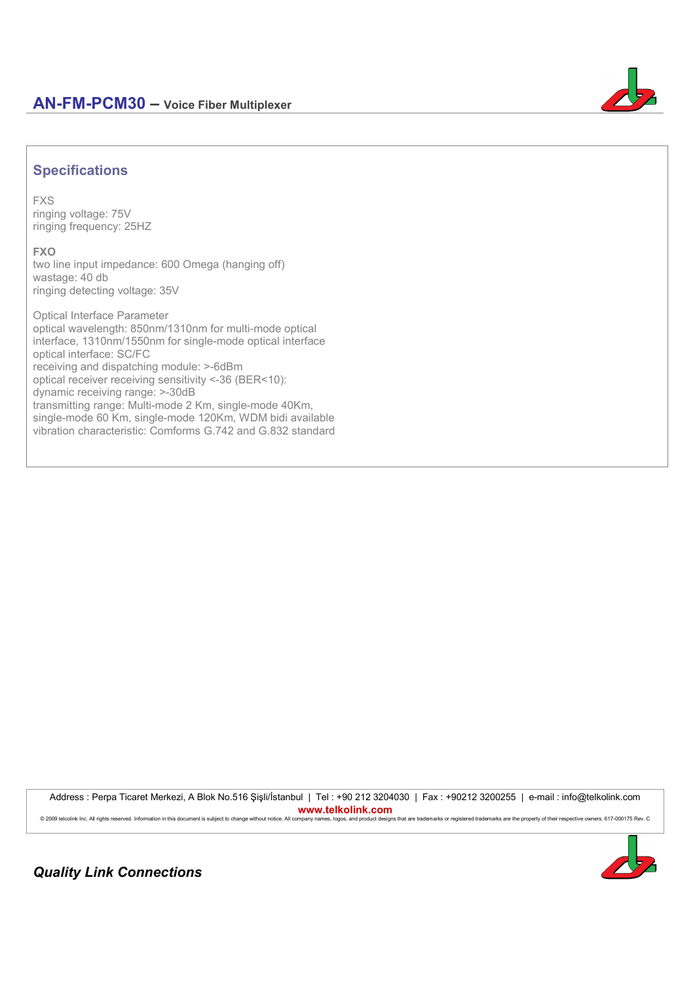

# **Specifications**

**FXS** ringing voltage: 75V ringing frequency: 25HZ

**FXO**

two line input impedance: 600 Omega (hanging off) wastage: 40 db ringing detecting voltage: 35V

Optical Interface Parameter optical wavelength: 850nm/1310nm for multi-mode optical interface, 1310nm/1550nm for single-mode optical interface optical interface: SC/FC receiving and dispatching module: >-6dBm optical receiver receiving sensitivity <-36 (BER<10): dynamic receiving range: >-30dB transmitting range: Multi-mode 2 Km, single-mode 40Km, single-mode 60 Km, single-mode 120Km, WDM bidi available vibration characteristic: Comforms G.742 and G.832 standard

Address : Perpa Ticaret Merkezi, A Blok No.516 Şişli/İstanbul | Tel : +90 212 3204030 | Fax : +90212 3200255 | e-mail : info@telkolink.com **www.telkolink.com** © 2009 telcolink Inc. All rights reserved. Information in this document is subject to change without notice. All company names, logos, and product designs that are trademarks or registered trademarks are the property of th



*Quality Link Connections*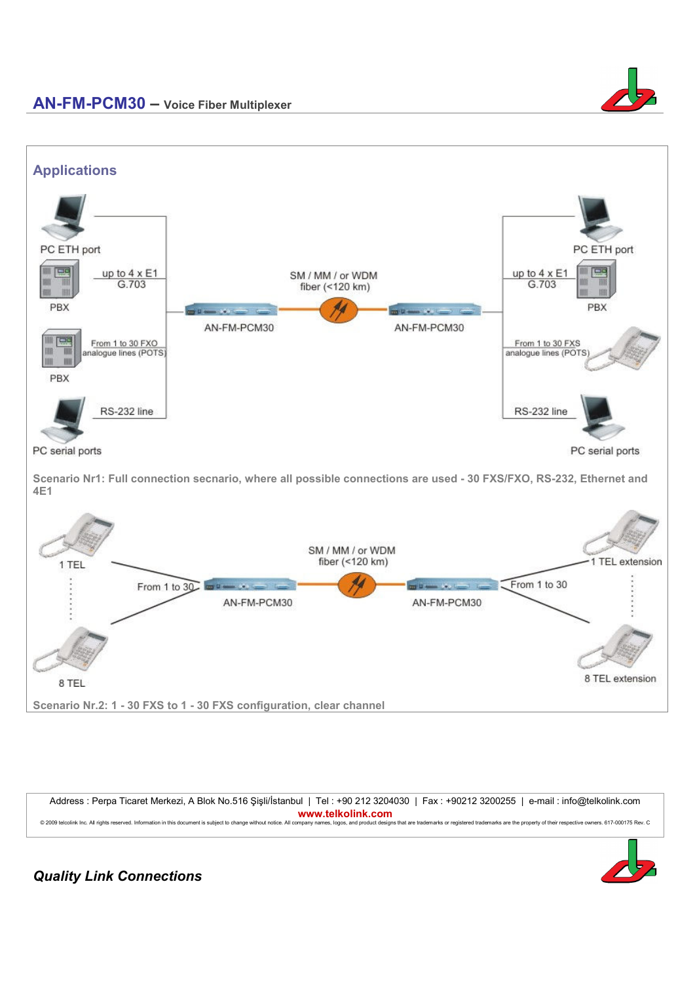



**Scenario Nr1: Full connection secnario, where all possible connections are used - 30 FXS/FXO, RS-232, Ethernet and 4E1** 



Address : Perpa Ticaret Merkezi, A Blok No.516 Şişli/İstanbul | Tel : +90 212 3204030 | Fax : +90212 3200255 | e-mail : info@telkolink.com **www.telkolink.com** © 2009 telcolink Inc. All rights reserved. Information in this document is subject to change without notice. All company names, logos, and product designs that are trademarks or registered trademarks are the property of th



*Quality Link Connections*